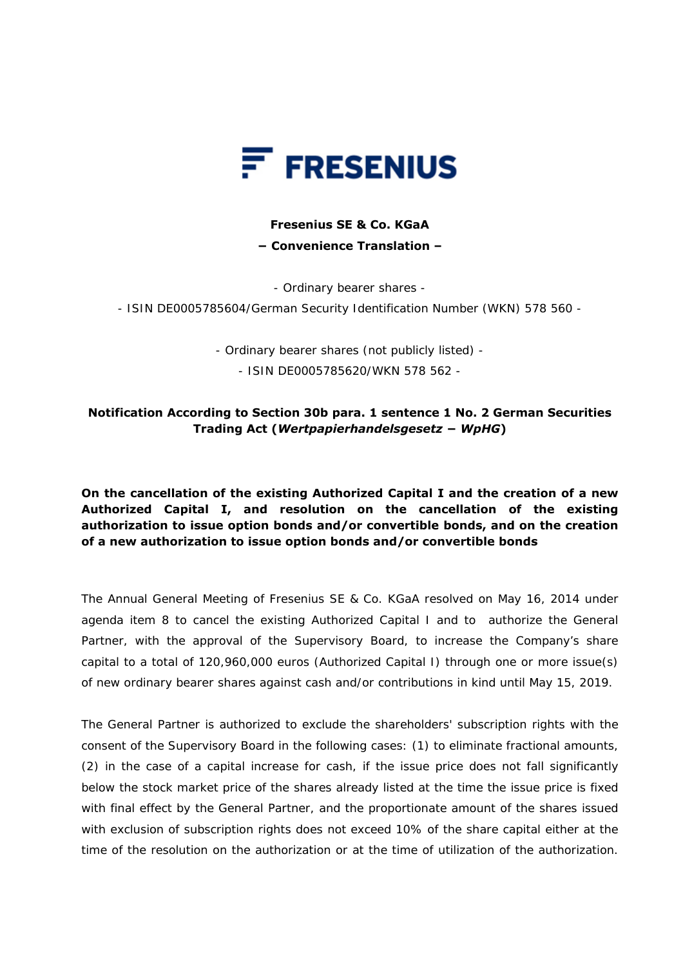

## **Fresenius SE & Co. KGaA − Convenience Translation –**

- Ordinary bearer shares -

- ISIN DE0005785604/German Security Identification Number (WKN) 578 560 -

- Ordinary bearer shares (not publicly listed) - - ISIN DE0005785620/WKN 578 562 -

## **Notification According to Section 30b para. 1 sentence 1 No. 2 German Securities Trading Act (***Wertpapierhandelsgesetz − WpHG***)**

## **On the cancellation of the existing Authorized Capital I and the creation of a new Authorized Capital I, and resolution on the cancellation of the existing authorization to issue option bonds and/or convertible bonds, and on the creation of a new authorization to issue option bonds and/or convertible bonds**

The Annual General Meeting of Fresenius SE & Co. KGaA resolved on May 16, 2014 under agenda item 8 to cancel the existing Authorized Capital I and to authorize the General Partner, with the approval of the Supervisory Board, to increase the Company's share capital to a total of 120,960,000 euros (Authorized Capital I) through one or more issue(s) of new ordinary bearer shares against cash and/or contributions in kind until May 15, 2019.

The General Partner is authorized to exclude the shareholders' subscription rights with the consent of the Supervisory Board in the following cases: (1) to eliminate fractional amounts, (2) in the case of a capital increase for cash, if the issue price does not fall significantly below the stock market price of the shares already listed at the time the issue price is fixed with final effect by the General Partner, and the proportionate amount of the shares issued with exclusion of subscription rights does not exceed 10% of the share capital either at the time of the resolution on the authorization or at the time of utilization of the authorization.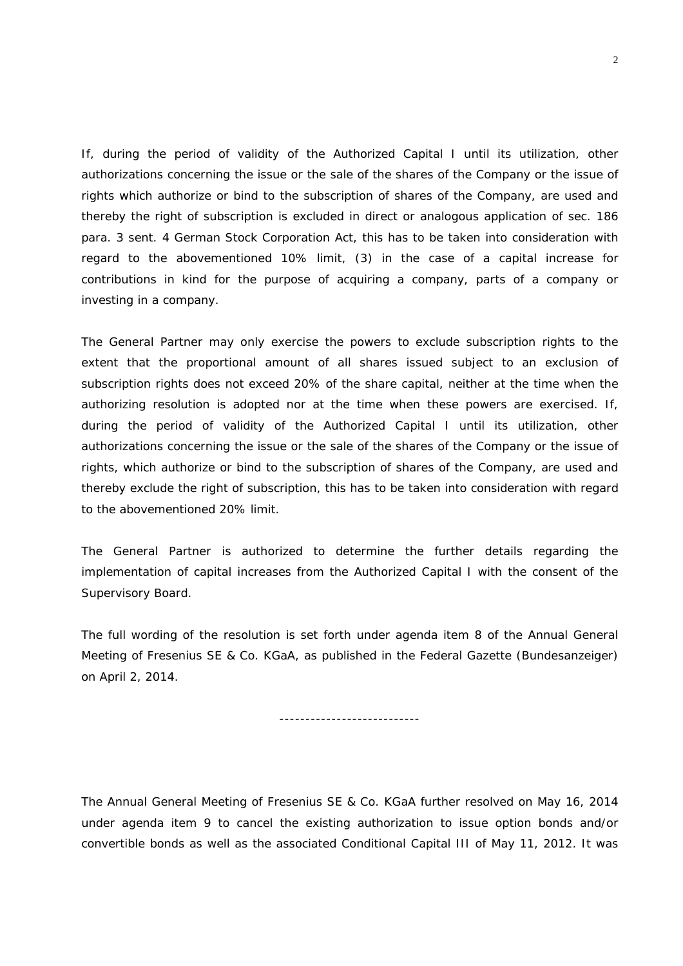If, during the period of validity of the Authorized Capital I until its utilization, other authorizations concerning the issue or the sale of the shares of the Company or the issue of rights which authorize or bind to the subscription of shares of the Company, are used and thereby the right of subscription is excluded in direct or analogous application of sec. 186 para. 3 sent. 4 German Stock Corporation Act, this has to be taken into consideration with regard to the abovementioned 10% limit, (3) in the case of a capital increase for contributions in kind for the purpose of acquiring a company, parts of a company or investing in a company.

The General Partner may only exercise the powers to exclude subscription rights to the extent that the proportional amount of all shares issued subject to an exclusion of subscription rights does not exceed 20% of the share capital, neither at the time when the authorizing resolution is adopted nor at the time when these powers are exercised. If, during the period of validity of the Authorized Capital I until its utilization, other authorizations concerning the issue or the sale of the shares of the Company or the issue of rights, which authorize or bind to the subscription of shares of the Company, are used and thereby exclude the right of subscription, this has to be taken into consideration with regard to the abovementioned 20% limit.

The General Partner is authorized to determine the further details regarding the implementation of capital increases from the Authorized Capital I with the consent of the Supervisory Board.

The full wording of the resolution is set forth under agenda item 8 of the Annual General Meeting of Fresenius SE & Co. KGaA, as published in the Federal Gazette (*Bundesanzeiger*) on April 2, 2014.

---------------------------

The Annual General Meeting of Fresenius SE & Co. KGaA further resolved on May 16, 2014 under agenda item 9 to cancel the existing authorization to issue option bonds and/or convertible bonds as well as the associated Conditional Capital III of May 11, 2012. It was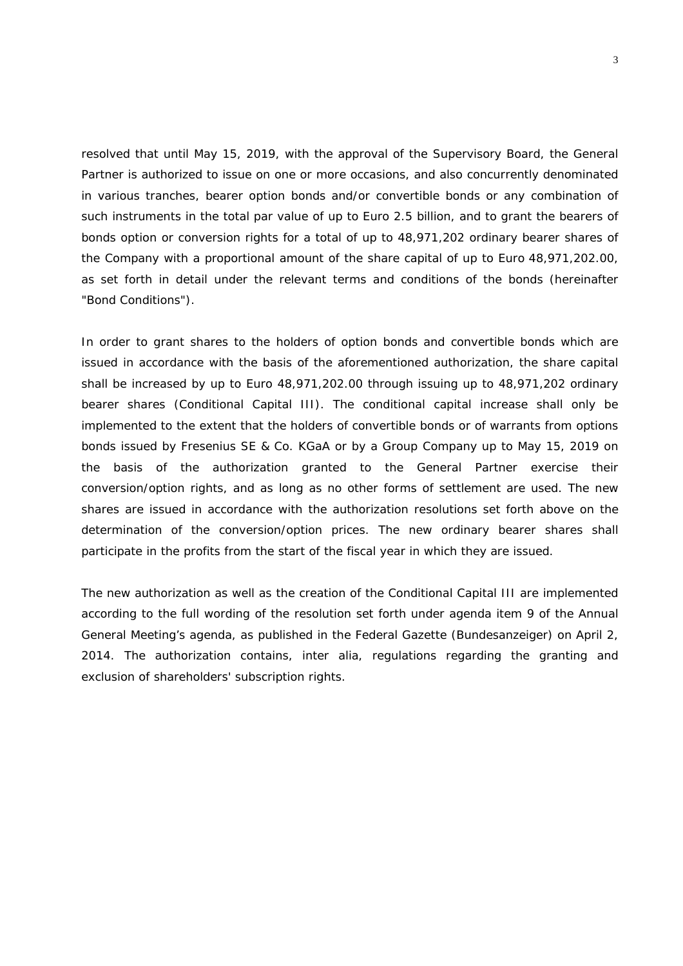resolved that until May 15, 2019, with the approval of the Supervisory Board, the General Partner is authorized to issue on one or more occasions, and also concurrently denominated in various tranches, bearer option bonds and/or convertible bonds or any combination of such instruments in the total par value of up to Euro 2.5 billion, and to grant the bearers of bonds option or conversion rights for a total of up to 48,971,202 ordinary bearer shares of the Company with a proportional amount of the share capital of up to Euro 48,971,202.00, as set forth in detail under the relevant terms and conditions of the bonds (hereinafter "Bond Conditions").

In order to grant shares to the holders of option bonds and convertible bonds which are issued in accordance with the basis of the aforementioned authorization, the share capital shall be increased by up to Euro 48,971,202.00 through issuing up to 48,971,202 ordinary bearer shares (Conditional Capital III). The conditional capital increase shall only be implemented to the extent that the holders of convertible bonds or of warrants from options bonds issued by Fresenius SE & Co. KGaA or by a Group Company up to May 15, 2019 on the basis of the authorization granted to the General Partner exercise their conversion/option rights, and as long as no other forms of settlement are used. The new shares are issued in accordance with the authorization resolutions set forth above on the determination of the conversion/option prices. The new ordinary bearer shares shall participate in the profits from the start of the fiscal year in which they are issued.

The new authorization as well as the creation of the Conditional Capital III are implemented according to the full wording of the resolution set forth under agenda item 9 of the Annual General Meeting's agenda, as published in the Federal Gazette (*Bundesanzeiger*) on April 2, 2014. The authorization contains, inter alia, regulations regarding the granting and exclusion of shareholders' subscription rights.